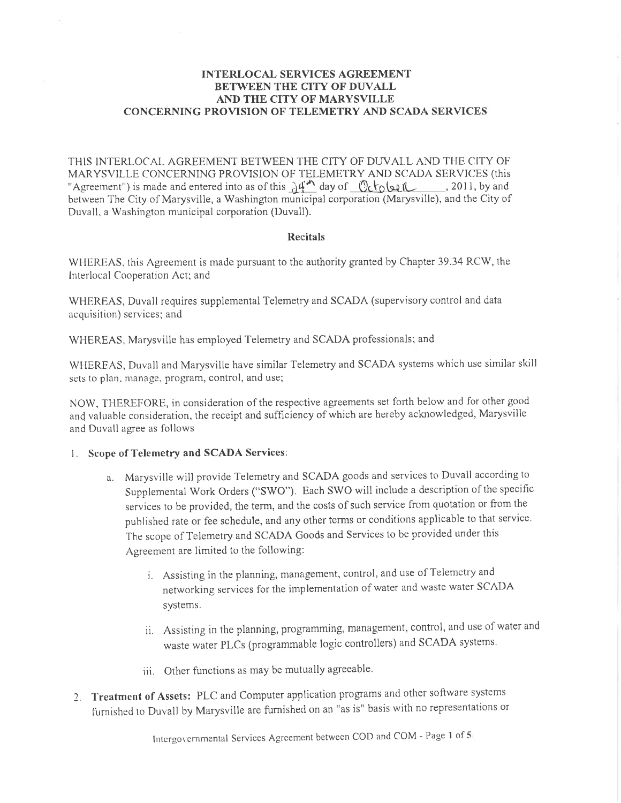## **INTERLOCAL SERVICES AGREEMENT BETWEEN THE CITY OF DUVALL** AND THE CITY OF MARYSVILLE **CONCERNING PROVISION OF TELEMETRY AND SCADA SERVICES**

THIS INTERLOCAL AGREEMENT BETWEEN THE CITY OF DUVALL AND THE CITY OF MARYSVILLE CONCERNING PROVISION OF TELEMETRY AND SCADA SERVICES (this "Agreement") is made and entered into as of this  $A^{\mu}$  day of  $\sqrt{\frac{1}{2} \left(\frac{1}{2} \right)^2}$ , 2011, by and between The City of Marysville, a Washington municipal corporation (Marysville), and the City of Duvall, a Washington municipal corporation (Duvall).

## **Recitals**

WHEREAS, this Agreement is made pursuant to the authority granted by Chapter 39.34 RCW, the Interlocal Cooperation Act; and

WHEREAS, Duvall requires supplemental Telemetry and SCADA (supervisory control and data acquisition) services; and

WHEREAS, Marysville has employed Telemetry and SCADA professionals; and

WHEREAS, Duvall and Marysville have similar Telemetry and SCADA systems which use similar skill sets to plan, manage, program, control, and use;

NOW, THEREFORE, in consideration of the respective agreements set forth below and for other good and valuable consideration, the receipt and sufficiency of which are hereby acknowledged, Marysville and Duvall agree as follows

## 1. Scope of Telemetry and SCADA Services:

- a. Marysville will provide Telemetry and SCADA goods and services to Duvall according to Supplemental Work Orders ("SWO"). Each SWO will include a description of the specific services to be provided, the term, and the costs of such service from quotation or from the published rate or fee schedule, and any other terms or conditions applicable to that service. The scope of Telemetry and SCADA Goods and Services to be provided under this Agreement are limited to the following:
	- i. Assisting in the planning, management, control, and use of Telemetry and networking services for the implementation of water and waste water SCADA systems.
	- ii. Assisting in the planning, programming, management, control, and use of water and waste water PLCs (programmable logic controllers) and SCADA systems.
	- iii. Other functions as may be mutually agreeable.
- 2. Treatment of Assets: PLC and Computer application programs and other software systems furnished to Duvall by Marysville are furnished on an "as is" basis with no representations or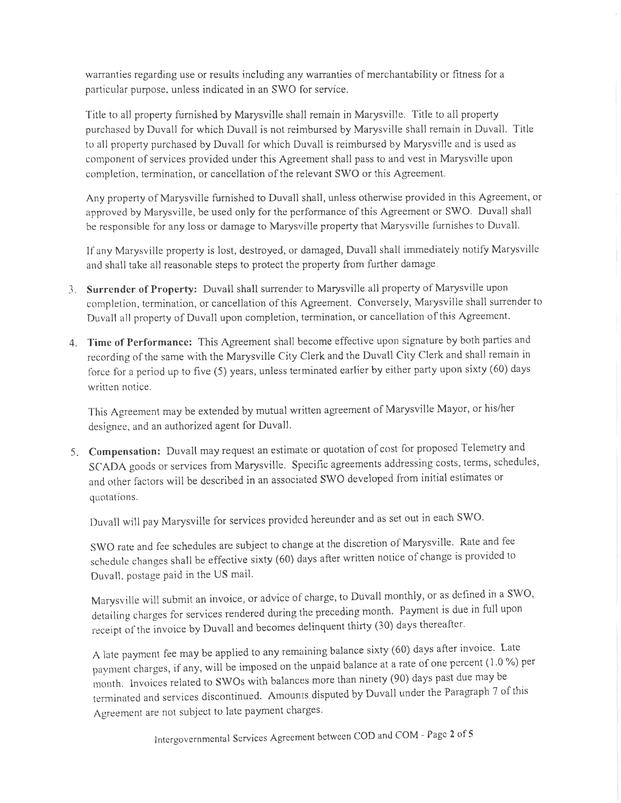warranties regarding use or results including any warranties of merchantability or fitness for a particular purpose, unless indicated in an SWO for service.

Title to all property furnished by Marysville shall remain in Marysville. Title to all property purchased by Duvall for which Duvall is not rejmbursed by Marysville shall remain in Duvail. Title to all property purchased by Duvall for which Duvall is reimbursed by Marysville and is used as component of services provided under this Agreement shall pass to and vest in Marysville upon completion, termination, or cancellation of the relevant SWO or this Agreement.

Any property of Marysville furnished to Duvall shall, unless otherwise provided in this Agreement, or approved by Marysville, be used only for the performance of this Agreement or SWO. Duvall shall be responsible for any loss or damage to Marysville property that Marysville furnishes to Duvall.

If any Marysville property is lost, destroyed, or damaged, Duvall shall immediately notify Marysville and shall take all reasonable steps to protect the property from further damage.

- Surrender of Property: Duvall shall surrender to Marysville all property of Marysville upon completion, termination, or cancellation of this Agreement. Conversely, Marysville shall surrender to Duvall all property of Duvall upon completion, termination, or cancellation of this Agreement.
- Time of Performance: This Agreement shall become effective upon signature by both parties and recording of the same with the Marysville City Clerk and the Duvall City Clerk and shall remain in force for a period up to five (5) years, unless terminated earlier by either party upon sixty (60) days written notice.

This Agreement may be extended by mutual written agreement of Marysville Mayor, or his/her designee, and an authorized agent for Duvall.

5. Compensation: Duvall may request an estimate or quotation of cost for proposed Telemetry and SCADA goods or services from Marysville. Specific agreements addressing costs, terms, schedules, and other factors will be described in an associated SWO developed fiom injtial estimates or quotations.

Duvall will pay Marysville for services provided hereunder and as set out in each SWO.

SWO rate and fee schedules are subject to change at the discretion of Marysville. Rate and fee schedule changes shall be effective sixty (60) days after written notice of change is provided to Duvall, postage paid in the US mail.

Marysville will submit an invoice, or advice of charge, to Duvall monthly, or as defined in a SWO, detailing charges for services rendered during the preceding month. Payment is due in full upon receipt of the invoice by Duvall and becomes delinquent thirty (30) days thereafter.

A late payment fee may be applied to any remaining balance sixty (60) days after invoice. Late payment charges, if any, will be imposed on the unpaid balance at a rate of one percent (1.0 %) per month. Invoices related to SWOs with balances more than ninety (90) days past due may be terminated and services discontinued. Amounts disputed by Duvall under the Paragraph 7 of this Agreement are not subject to late payment charges.